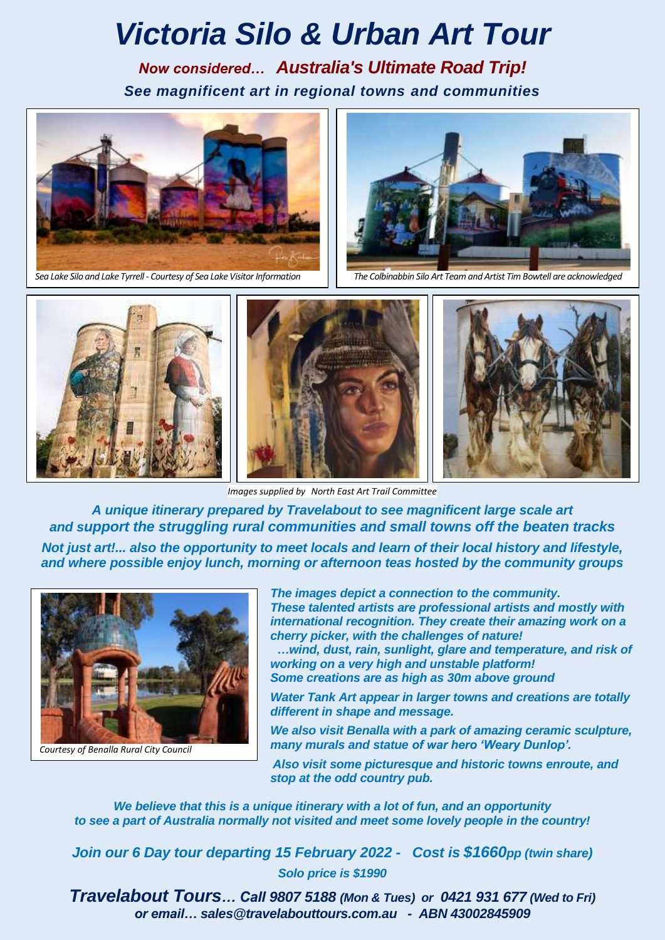# *Victoria Silo & Urban Art Tour*

*Now considered… Australia's Ultimate Road Trip! See magnificent art in regional towns and communities*





*Sea Lake Silo and Lake Tyrrell - Courtesy of Sea Lake Visitor Information The Colbinabbin Silo Art Team and Artist Tim Bowtell are acknowledged*



*Images supplied by North East Art Trail Committee* 

*A unique itinerary prepared by Travelabout to see magnificent large scale art and support the struggling rural communities and small towns off the beaten tracks*

*Not just art!... also the opportunity to meet locals and learn of their local history and lifestyle, and where possible enjoy lunch, morning or afternoon teas hosted by the community groups*



*Courtesy of Benalla Rural City Council*

*The images depict a connection to the community. These talented artists are professional artists and mostly with international recognition. They create their amazing work on a cherry picker, with the challenges of nature!*

 *…wind, dust, rain, sunlight, glare and temperature, and risk of working on a very high and unstable platform!*

*Some creations are as high as 30m above ground*

*Water Tank Art appear in larger towns and creations are totally different in shape and message.*

*We also visit Benalla with a park of amazing ceramic sculpture, many murals and statue of war hero 'Weary Dunlop'.*

*Also visit some picturesque and historic towns enroute, and stop at the odd country pub.* 

*We believe that this is a unique itinerary with a lot of fun, and an opportunity to see a part of Australia normally not visited and meet some lovely people in the country!*

*Join our 6 Day tour departing 15 February 2022 - Cost is \$1660pp (twin share) Solo price is \$1990*

*Travelabout Tours… Call 9807 5188 (Mon & Tues) or 0421 931 677 (Wed to Fri) or email… [sales@travelabouttours.com.au](mailto:sales@travelabouttours.com.au) - ABN 43002845909*